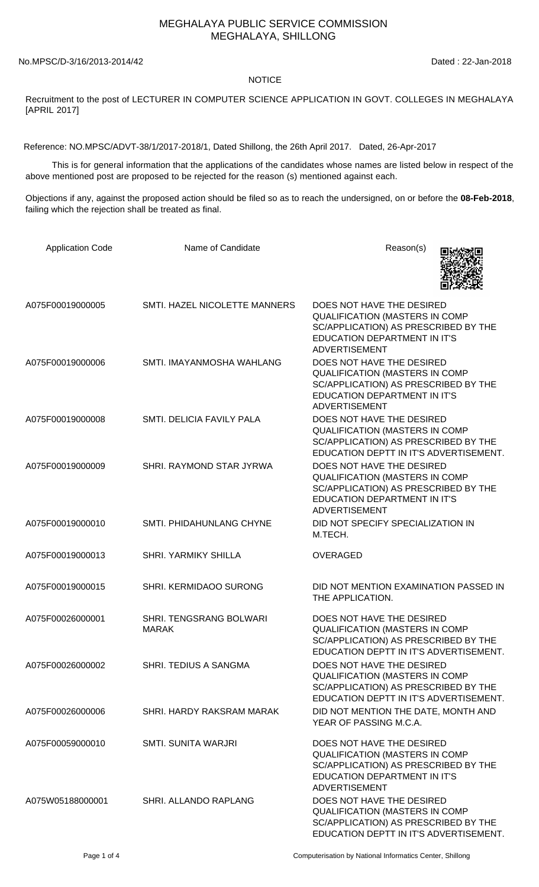## MEGHALAYA PUBLIC SERVICE COMMISSION MEGHALAYA, SHILLONG

No.MPSC/D-3/16/2013-2014/42 Dated : 22-Jan-2018

## **NOTICE**

Recruitment to the post of LECTURER IN COMPUTER SCIENCE APPLICATION IN GOVT. COLLEGES IN MEGHALAYA [APRIL 2017]

Reference: NO.MPSC/ADVT-38/1/2017-2018/1, Dated Shillong, the 26th April 2017. Dated, 26-Apr-2017

 This is for general information that the applications of the candidates whose names are listed below in respect of the above mentioned post are proposed to be rejected for the reason (s) mentioned against each.

Objections if any, against the proposed action should be filed so as to reach the undersigned, on or before the **08-Feb-2018**, failing which the rejection shall be treated as final.

| <b>Application Code</b> | Name of Candidate                              | Reason(s)                                                                                                                                                                 |
|-------------------------|------------------------------------------------|---------------------------------------------------------------------------------------------------------------------------------------------------------------------------|
| A075F00019000005        | SMTI. HAZEL NICOLETTE MANNERS                  | DOES NOT HAVE THE DESIRED<br>QUALIFICATION (MASTERS IN COMP<br>SC/APPLICATION) AS PRESCRIBED BY THE<br><b>EDUCATION DEPARTMENT IN IT'S</b><br><b>ADVERTISEMENT</b>        |
| A075F00019000006        | SMTI. IMAYANMOSHA WAHLANG                      | DOES NOT HAVE THE DESIRED<br>QUALIFICATION (MASTERS IN COMP<br>SC/APPLICATION) AS PRESCRIBED BY THE<br><b>EDUCATION DEPARTMENT IN IT'S</b><br><b>ADVERTISEMENT</b>        |
| A075F00019000008        | SMTI. DELICIA FAVILY PALA                      | DOES NOT HAVE THE DESIRED<br>QUALIFICATION (MASTERS IN COMP<br>SC/APPLICATION) AS PRESCRIBED BY THE<br>EDUCATION DEPTT IN IT'S ADVERTISEMENT.                             |
| A075F00019000009        | SHRI. RAYMOND STAR JYRWA                       | DOES NOT HAVE THE DESIRED<br><b>QUALIFICATION (MASTERS IN COMP</b><br>SC/APPLICATION) AS PRESCRIBED BY THE<br><b>EDUCATION DEPARTMENT IN IT'S</b><br><b>ADVERTISEMENT</b> |
| A075F00019000010        | SMTI. PHIDAHUNLANG CHYNE                       | DID NOT SPECIFY SPECIALIZATION IN<br>M.TECH.                                                                                                                              |
| A075F00019000013        | <b>SHRI. YARMIKY SHILLA</b>                    | <b>OVERAGED</b>                                                                                                                                                           |
| A075F00019000015        | SHRI. KERMIDAOO SURONG                         | DID NOT MENTION EXAMINATION PASSED IN<br>THE APPLICATION.                                                                                                                 |
| A075F00026000001        | <b>SHRI. TENGSRANG BOLWARI</b><br><b>MARAK</b> | DOES NOT HAVE THE DESIRED<br>QUALIFICATION (MASTERS IN COMP<br>SC/APPLICATION) AS PRESCRIBED BY THE<br>EDUCATION DEPTT IN IT'S ADVERTISEMENT.                             |
| A075F00026000002        | SHRI. TEDIUS A SANGMA                          | DOES NOT HAVE THE DESIRED<br><b>QUALIFICATION (MASTERS IN COMP</b><br>SC/APPLICATION) AS PRESCRIBED BY THE<br>EDUCATION DEPTT IN IT'S ADVERTISEMENT.                      |
| A075F00026000006        | SHRI. HARDY RAKSRAM MARAK                      | DID NOT MENTION THE DATE, MONTH AND<br>YEAR OF PASSING M.C.A.                                                                                                             |
| A075F00059000010        | <b>SMTI, SUNITA WARJRI</b>                     | DOES NOT HAVE THE DESIRED<br><b>QUALIFICATION (MASTERS IN COMP</b><br>SC/APPLICATION) AS PRESCRIBED BY THE<br><b>EDUCATION DEPARTMENT IN IT'S</b><br><b>ADVERTISEMENT</b> |
| A075W05188000001        | SHRI. ALLANDO RAPLANG                          | DOES NOT HAVE THE DESIRED<br>QUALIFICATION (MASTERS IN COMP<br>SC/APPLICATION) AS PRESCRIBED BY THE<br>EDUCATION DEPTT IN IT'S ADVERTISEMENT.                             |

Page 1 of 4 Computerisation by National Informatics Center, Shillong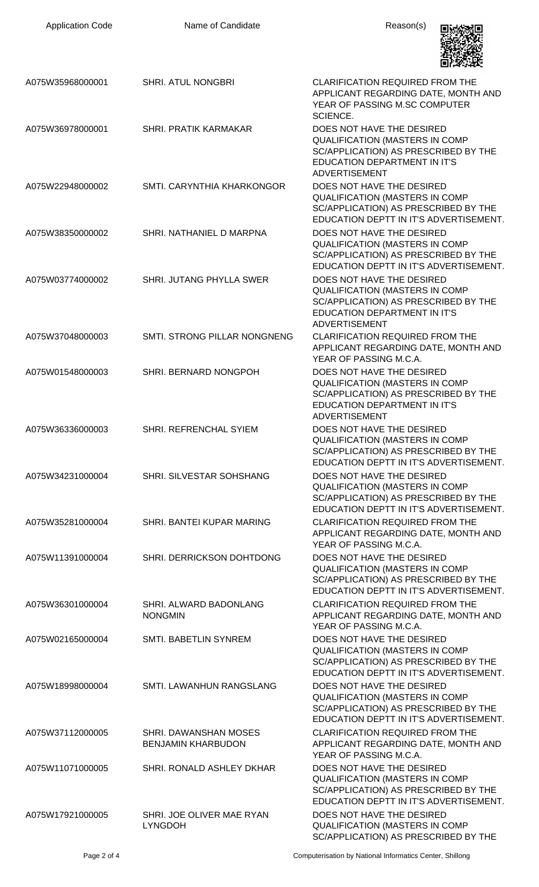| <b>Application Code</b> | Name of Candidate                                  | Reason(s)                                                                                                                                                          |
|-------------------------|----------------------------------------------------|--------------------------------------------------------------------------------------------------------------------------------------------------------------------|
| A075W35968000001        | SHRI. ATUL NONGBRI                                 | <b>CLARIFICATION REQUIRED FROM THE</b><br>APPLICANT REGARDING DATE, MONTH AND<br>YEAR OF PASSING M.SC COMPUTER<br>SCIENCE.                                         |
| A075W36978000001        | <b>SHRI. PRATIK KARMAKAR</b>                       | DOES NOT HAVE THE DESIRED<br>QUALIFICATION (MASTERS IN COMP<br>SC/APPLICATION) AS PRESCRIBED BY THE<br><b>EDUCATION DEPARTMENT IN IT'S</b><br><b>ADVERTISEMENT</b> |
| A075W22948000002        | SMTI. CARYNTHIA KHARKONGOR                         | DOES NOT HAVE THE DESIRED<br><b>QUALIFICATION (MASTERS IN COMP</b><br>SC/APPLICATION) AS PRESCRIBED BY THE<br>EDUCATION DEPTT IN IT'S ADVERTISEMENT.               |
| A075W38350000002        | SHRI. NATHANIEL D MARPNA                           | DOES NOT HAVE THE DESIRED<br><b>QUALIFICATION (MASTERS IN COMP</b><br>SC/APPLICATION) AS PRESCRIBED BY THE<br>EDUCATION DEPTT IN IT'S ADVERTISEMENT.               |
| A075W03774000002        | SHRI. JUTANG PHYLLA SWER                           | DOES NOT HAVE THE DESIRED<br>QUALIFICATION (MASTERS IN COMP<br>SC/APPLICATION) AS PRESCRIBED BY THE<br>EDUCATION DEPARTMENT IN IT'S<br><b>ADVERTISEMENT</b>        |
| A075W37048000003        | SMTI. STRONG PILLAR NONGNENG                       | <b>CLARIFICATION REQUIRED FROM THE</b><br>APPLICANT REGARDING DATE, MONTH AND<br>YEAR OF PASSING M.C.A.                                                            |
| A075W01548000003        | SHRI. BERNARD NONGPOH                              | DOES NOT HAVE THE DESIRED<br>QUALIFICATION (MASTERS IN COMP<br>SC/APPLICATION) AS PRESCRIBED BY THE<br>EDUCATION DEPARTMENT IN IT'S<br>ADVERTISEMENT               |
| A075W36336000003        | SHRI. REFRENCHAL SYIEM                             | DOES NOT HAVE THE DESIRED<br><b>QUALIFICATION (MASTERS IN COMP</b><br>SC/APPLICATION) AS PRESCRIBED BY THE<br>EDUCATION DEPTT IN IT'S ADVERTISEMENT.               |
| A075W34231000004        | SHRI. SILVESTAR SOHSHANG                           | DOES NOT HAVE THE DESIRED<br><b>QUALIFICATION (MASTERS IN COMP</b><br>SC/APPLICATION) AS PRESCRIBED BY THE<br>EDUCATION DEPTT IN IT'S ADVERTISEMENT.               |
| A075W35281000004        | SHRI. BANTEI KUPAR MARING                          | <b>CLARIFICATION REQUIRED FROM THE</b><br>APPLICANT REGARDING DATE, MONTH AND<br>YEAR OF PASSING M.C.A.                                                            |
| A075W11391000004        | SHRI. DERRICKSON DOHTDONG                          | DOES NOT HAVE THE DESIRED<br>QUALIFICATION (MASTERS IN COMP<br>SC/APPLICATION) AS PRESCRIBED BY THE<br>EDUCATION DEPTT IN IT'S ADVERTISEMENT.                      |
| A075W36301000004        | SHRI. ALWARD BADONLANG<br><b>NONGMIN</b>           | <b>CLARIFICATION REQUIRED FROM THE</b><br>APPLICANT REGARDING DATE, MONTH AND<br>YEAR OF PASSING M.C.A.                                                            |
| A075W02165000004        | SMTI. BABETLIN SYNREM                              | DOES NOT HAVE THE DESIRED<br><b>QUALIFICATION (MASTERS IN COMP</b><br>SC/APPLICATION) AS PRESCRIBED BY THE<br>EDUCATION DEPTT IN IT'S ADVERTISEMENT.               |
| A075W18998000004        | SMTI. LAWANHUN RANGSLANG                           | DOES NOT HAVE THE DESIRED<br><b>QUALIFICATION (MASTERS IN COMP</b><br>SC/APPLICATION) AS PRESCRIBED BY THE<br>EDUCATION DEPTT IN IT'S ADVERTISEMENT.               |
| A075W37112000005        | SHRI. DAWANSHAN MOSES<br><b>BENJAMIN KHARBUDON</b> | <b>CLARIFICATION REQUIRED FROM THE</b><br>APPLICANT REGARDING DATE, MONTH AND<br>YEAR OF PASSING M.C.A.                                                            |
| A075W11071000005        | SHRI. RONALD ASHLEY DKHAR                          | DOES NOT HAVE THE DESIRED<br><b>QUALIFICATION (MASTERS IN COMP</b><br>SC/APPLICATION) AS PRESCRIBED BY THE<br>EDUCATION DEPTT IN IT'S ADVERTISEMENT.               |
| A075W17921000005        | SHRI. JOE OLIVER MAE RYAN<br><b>LYNGDOH</b>        | DOES NOT HAVE THE DESIRED<br><b>QUALIFICATION (MASTERS IN COMP</b><br>SC/APPLICATION) AS PRESCRIBED BY THE                                                         |

Page 2 of 4 Computerisation by National Informatics Center, Shillong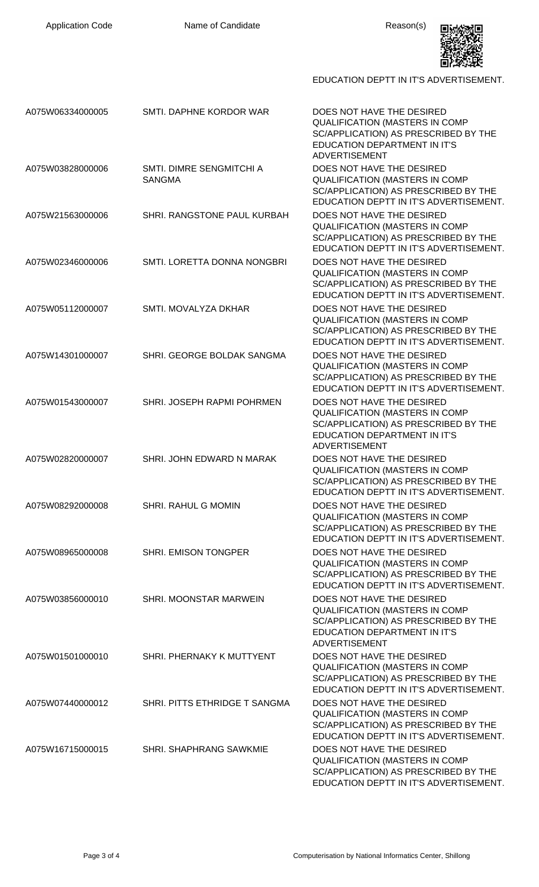

EDUCATION DEPTT IN IT'S ADVERTISEMENT.

| A075W06334000005 | SMTI. DAPHNE KORDOR WAR                   | DOES NOT HAVE THE DESIRED<br><b>QUALIFICATION (MASTERS IN COMP</b><br>SC/APPLICATION) AS PRESCRIBED BY THE<br><b>EDUCATION DEPARTMENT IN IT'S</b><br><b>ADVERTISEMENT</b> |
|------------------|-------------------------------------------|---------------------------------------------------------------------------------------------------------------------------------------------------------------------------|
| A075W03828000006 | SMTI. DIMRE SENGMITCHI A<br><b>SANGMA</b> | DOES NOT HAVE THE DESIRED<br><b>QUALIFICATION (MASTERS IN COMP</b><br>SC/APPLICATION) AS PRESCRIBED BY THE<br>EDUCATION DEPTT IN IT'S ADVERTISEMENT.                      |
| A075W21563000006 | SHRI. RANGSTONE PAUL KURBAH               | DOES NOT HAVE THE DESIRED<br><b>QUALIFICATION (MASTERS IN COMP</b><br>SC/APPLICATION) AS PRESCRIBED BY THE<br>EDUCATION DEPTT IN IT'S ADVERTISEMENT.                      |
| A075W02346000006 | SMTI. LORETTA DONNA NONGBRI               | DOES NOT HAVE THE DESIRED<br><b>QUALIFICATION (MASTERS IN COMP</b><br>SC/APPLICATION) AS PRESCRIBED BY THE<br>EDUCATION DEPTT IN IT'S ADVERTISEMENT.                      |
| A075W05112000007 | SMTI. MOVALYZA DKHAR                      | DOES NOT HAVE THE DESIRED<br><b>QUALIFICATION (MASTERS IN COMP</b><br>SC/APPLICATION) AS PRESCRIBED BY THE<br>EDUCATION DEPTT IN IT'S ADVERTISEMENT.                      |
| A075W14301000007 | SHRI. GEORGE BOLDAK SANGMA                | DOES NOT HAVE THE DESIRED<br><b>QUALIFICATION (MASTERS IN COMP</b><br>SC/APPLICATION) AS PRESCRIBED BY THE<br>EDUCATION DEPTT IN IT'S ADVERTISEMENT.                      |
| A075W01543000007 | SHRI. JOSEPH RAPMI POHRMEN                | DOES NOT HAVE THE DESIRED<br><b>QUALIFICATION (MASTERS IN COMP</b><br>SC/APPLICATION) AS PRESCRIBED BY THE<br>EDUCATION DEPARTMENT IN IT'S<br><b>ADVERTISEMENT</b>        |
| A075W02820000007 | SHRI. JOHN EDWARD N MARAK                 | DOES NOT HAVE THE DESIRED<br><b>QUALIFICATION (MASTERS IN COMP</b><br>SC/APPLICATION) AS PRESCRIBED BY THE<br>FDUCATION DEPTT IN IT'S ADVERTISEMENT.                      |
| A075W08292000008 | <b>SHRI. RAHUL G MOMIN</b>                | DOES NOT HAVE THE DESIRED<br>QUALIFICATION (MASTERS IN COMP<br>SC/APPLICATION) AS PRESCRIBED BY THE<br>EDUCATION DEPTT IN IT'S ADVERTISEMENT.                             |
| A075W08965000008 | SHRI. EMISON TONGPER                      | DOES NOT HAVE THE DESIRED<br><b>QUALIFICATION (MASTERS IN COMP</b><br>SC/APPLICATION) AS PRESCRIBED BY THE<br>EDUCATION DEPTT IN IT'S ADVERTISEMENT.                      |
| A075W03856000010 | SHRI. MOONSTAR MARWEIN                    | DOES NOT HAVE THE DESIRED<br><b>QUALIFICATION (MASTERS IN COMP</b><br>SC/APPLICATION) AS PRESCRIBED BY THE<br>EDUCATION DEPARTMENT IN IT'S<br><b>ADVERTISEMENT</b>        |
| A075W01501000010 | SHRI. PHERNAKY K MUTTYENT                 | DOES NOT HAVE THE DESIRED<br><b>QUALIFICATION (MASTERS IN COMP</b><br>SC/APPLICATION) AS PRESCRIBED BY THE<br>EDUCATION DEPTT IN IT'S ADVERTISEMENT.                      |
| A075W07440000012 | SHRI. PITTS ETHRIDGE T SANGMA             | DOES NOT HAVE THE DESIRED<br><b>QUALIFICATION (MASTERS IN COMP</b><br>SC/APPLICATION) AS PRESCRIBED BY THE<br>EDUCATION DEPTT IN IT'S ADVERTISEMENT.                      |
| A075W16715000015 | SHRI. SHAPHRANG SAWKMIE                   | DOES NOT HAVE THE DESIRED<br><b>QUALIFICATION (MASTERS IN COMP</b><br>SC/APPLICATION) AS PRESCRIBED BY THE<br>EDUCATION DEPTT IN IT'S ADVERTISEMENT.                      |